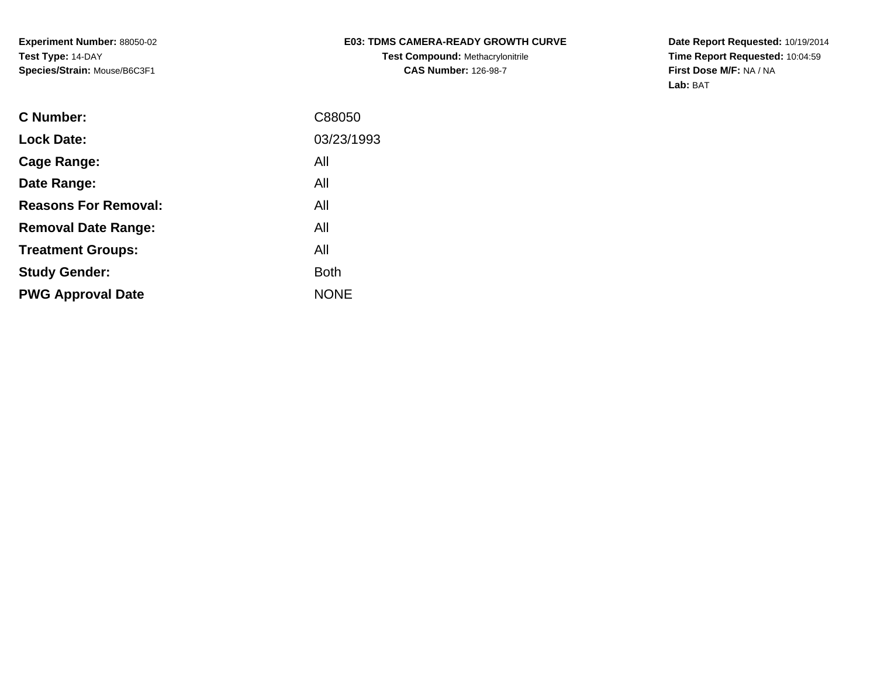# **E03: TDMS CAMERA-READY GROWTH CURVE**

**Test Compound:** Methacrylonitrile**CAS Number:** 126-98-7

**Date Report Requested:** 10/19/2014 **Time Report Requested:** 10:04:59**First Dose M/F:** NA / NA**Lab:** BAT

| C Number:                   | C88050      |
|-----------------------------|-------------|
| <b>Lock Date:</b>           | 03/23/1993  |
| Cage Range:                 | All         |
| Date Range:                 | All         |
| <b>Reasons For Removal:</b> | All         |
| <b>Removal Date Range:</b>  | All         |
| <b>Treatment Groups:</b>    | All         |
| <b>Study Gender:</b>        | <b>Both</b> |
| <b>PWG Approval Date</b>    | <b>NONE</b> |
|                             |             |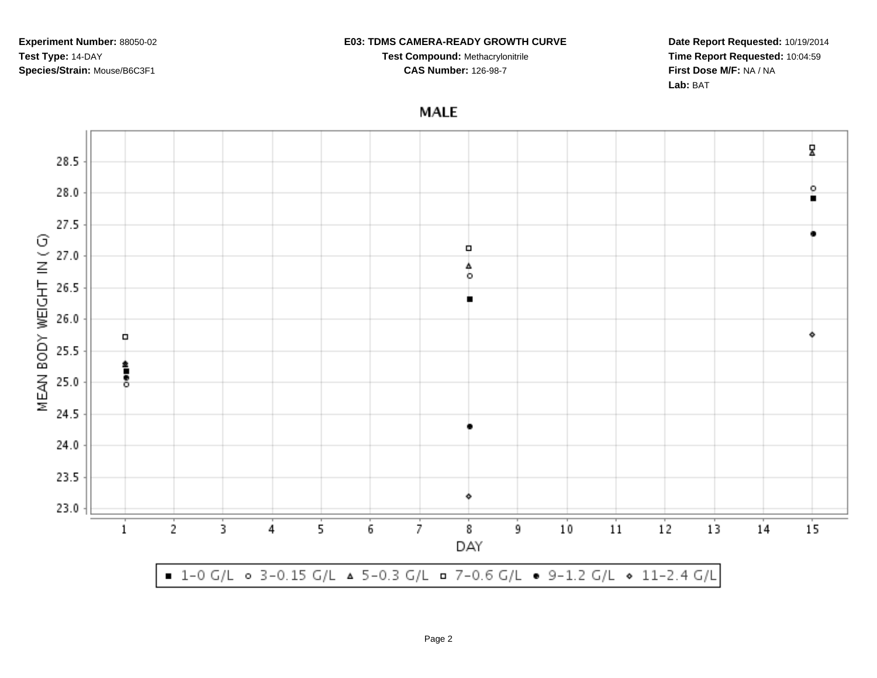#### **E03: TDMS CAMERA-READY GROWTH CURVE**

**Test Compound:** Methacrylonitrile**CAS Number:** 126-98-7

**Date Report Requested:** 10/19/2014**Time Report Requested:** 10:04:59**First Dose M/F:** NA / NA**Lab:** BAT

**MALE** 

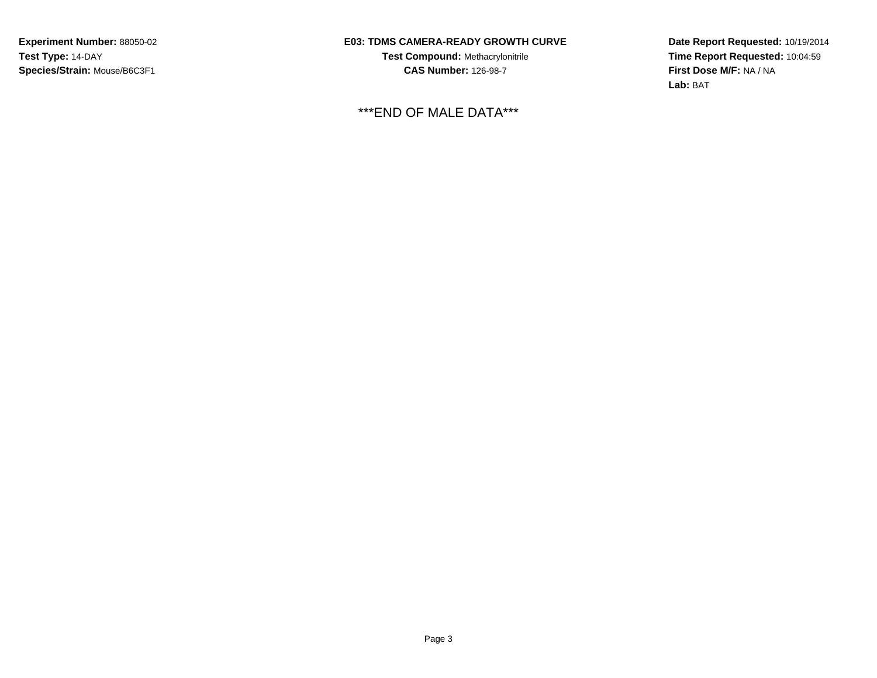### **E03: TDMS CAMERA-READY GROWTH CURVE**

**Test Compound:** Methacrylonitrile**CAS Number:** 126-98-7

\*\*\*END OF MALE DATA\*\*\*

**Date Report Requested:** 10/19/2014**Time Report Requested:** 10:04:59**First Dose M/F:** NA / NA**Lab:** BAT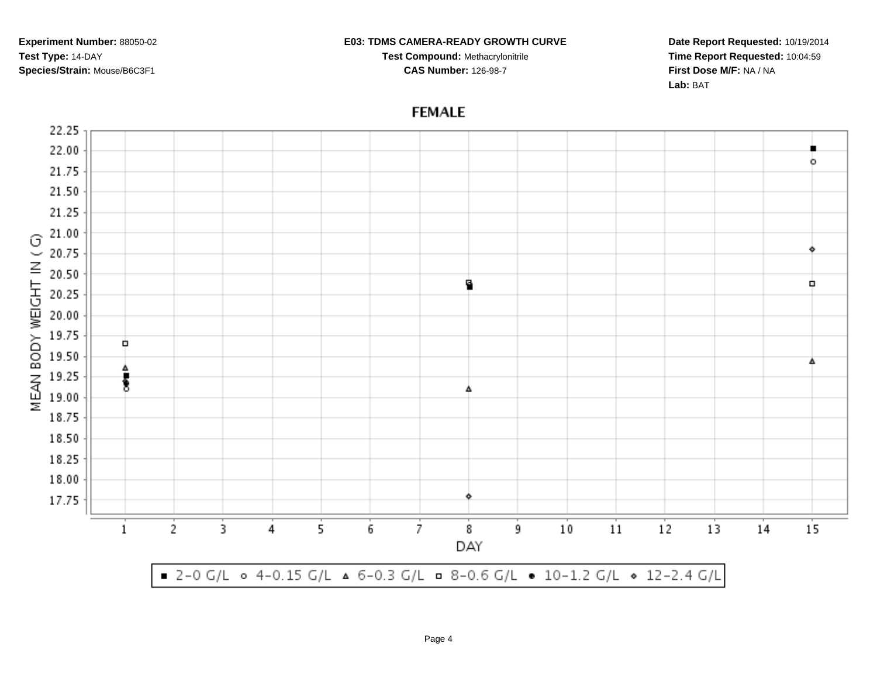#### **E03: TDMS CAMERA-READY GROWTH CURVE**

**Test Compound:** Methacrylonitrile**CAS Number:** 126-98-7

**Date Report Requested:** 10/19/2014**Time Report Requested:** 10:04:59**First Dose M/F:** NA / NA**Lab:** BAT

# **FEMALE**